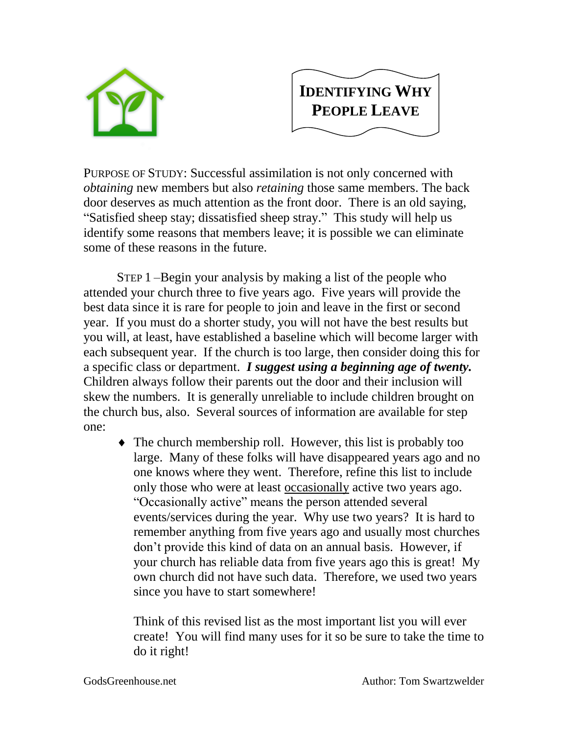



PURPOSE OF STUDY: Successful assimilation is not only concerned with *obtaining* new members but also *retaining* those same members. The back door deserves as much attention as the front door. There is an old saying, "Satisfied sheep stay; dissatisfied sheep stray." This study will help us identify some reasons that members leave; it is possible we can eliminate some of these reasons in the future.

STEP 1 –Begin your analysis by making a list of the people who attended your church three to five years ago. Five years will provide the best data since it is rare for people to join and leave in the first or second year. If you must do a shorter study, you will not have the best results but you will, at least, have established a baseline which will become larger with each subsequent year. If the church is too large, then consider doing this for a specific class or department. *I suggest using a beginning age of twenty.* Children always follow their parents out the door and their inclusion will skew the numbers. It is generally unreliable to include children brought on the church bus, also. Several sources of information are available for step one:

 The church membership roll. However, this list is probably too large. Many of these folks will have disappeared years ago and no one knows where they went. Therefore, refine this list to include only those who were at least occasionally active two years ago. "Occasionally active" means the person attended several events/services during the year. Why use two years? It is hard to remember anything from five years ago and usually most churches don't provide this kind of data on an annual basis. However, if your church has reliable data from five years ago this is great! My own church did not have such data. Therefore, we used two years since you have to start somewhere!

Think of this revised list as the most important list you will ever create! You will find many uses for it so be sure to take the time to do it right!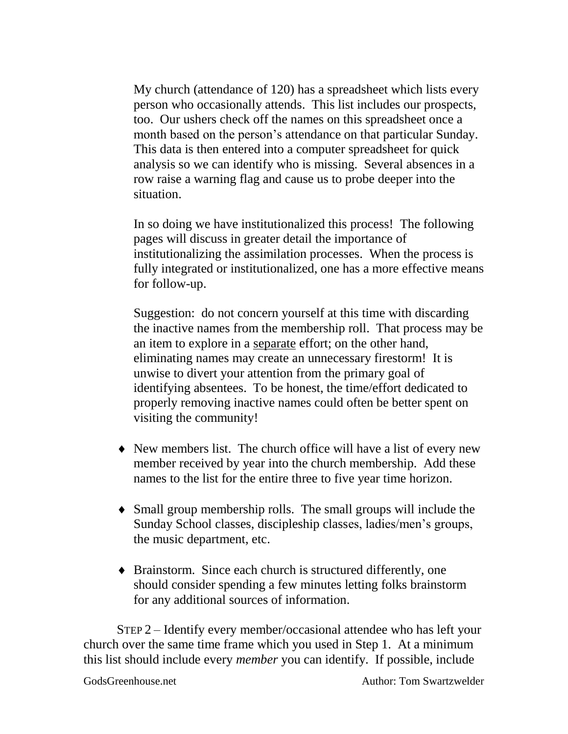My church (attendance of 120) has a spreadsheet which lists every person who occasionally attends. This list includes our prospects, too. Our ushers check off the names on this spreadsheet once a month based on the person's attendance on that particular Sunday. This data is then entered into a computer spreadsheet for quick analysis so we can identify who is missing. Several absences in a row raise a warning flag and cause us to probe deeper into the situation.

In so doing we have institutionalized this process! The following pages will discuss in greater detail the importance of institutionalizing the assimilation processes. When the process is fully integrated or institutionalized, one has a more effective means for follow-up.

Suggestion: do not concern yourself at this time with discarding the inactive names from the membership roll. That process may be an item to explore in a separate effort; on the other hand, eliminating names may create an unnecessary firestorm! It is unwise to divert your attention from the primary goal of identifying absentees. To be honest, the time/effort dedicated to properly removing inactive names could often be better spent on visiting the community!

- New members list. The church office will have a list of every new member received by year into the church membership. Add these names to the list for the entire three to five year time horizon.
- Small group membership rolls. The small groups will include the Sunday School classes, discipleship classes, ladies/men's groups, the music department, etc.
- Brainstorm. Since each church is structured differently, one should consider spending a few minutes letting folks brainstorm for any additional sources of information.

STEP 2 – Identify every member/occasional attendee who has left your church over the same time frame which you used in Step 1. At a minimum this list should include every *member* you can identify. If possible, include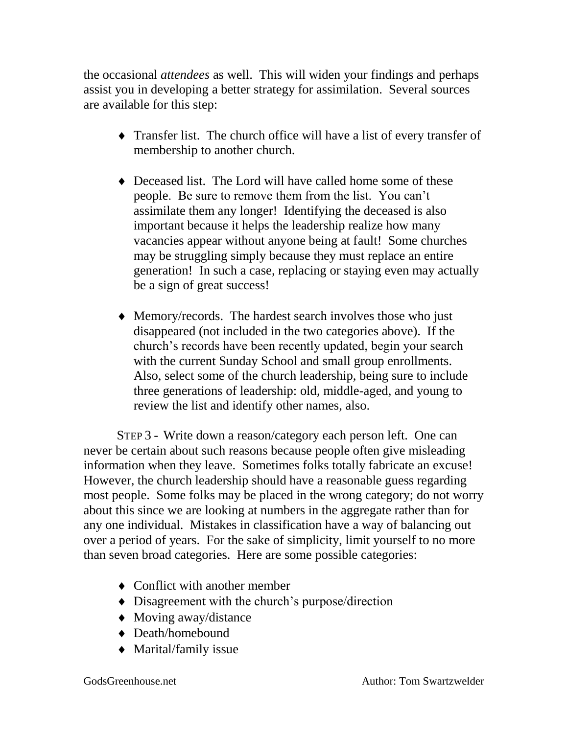the occasional *attendees* as well. This will widen your findings and perhaps assist you in developing a better strategy for assimilation. Several sources are available for this step:

- Transfer list. The church office will have a list of every transfer of membership to another church.
- Deceased list. The Lord will have called home some of these people. Be sure to remove them from the list. You can't assimilate them any longer! Identifying the deceased is also important because it helps the leadership realize how many vacancies appear without anyone being at fault! Some churches may be struggling simply because they must replace an entire generation! In such a case, replacing or staying even may actually be a sign of great success!
- Memory/records. The hardest search involves those who just disappeared (not included in the two categories above). If the church's records have been recently updated, begin your search with the current Sunday School and small group enrollments. Also, select some of the church leadership, being sure to include three generations of leadership: old, middle-aged, and young to review the list and identify other names, also.

STEP 3 - Write down a reason/category each person left. One can never be certain about such reasons because people often give misleading information when they leave. Sometimes folks totally fabricate an excuse! However, the church leadership should have a reasonable guess regarding most people. Some folks may be placed in the wrong category; do not worry about this since we are looking at numbers in the aggregate rather than for any one individual. Mistakes in classification have a way of balancing out over a period of years. For the sake of simplicity, limit yourself to no more than seven broad categories. Here are some possible categories:

- Conflict with another member
- Disagreement with the church's purpose/direction
- Moving away/distance
- Death/homebound
- Marital/family issue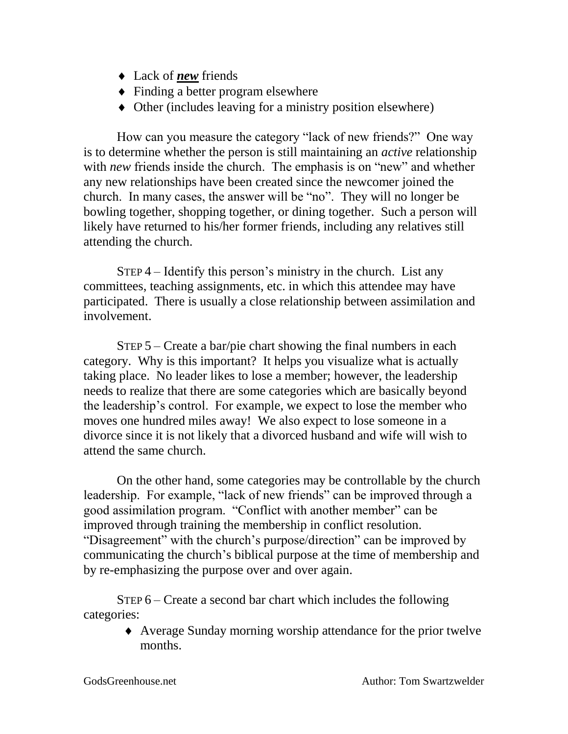- Lack of *new* friends
- Finding a better program elsewhere
- Other (includes leaving for a ministry position elsewhere)

How can you measure the category "lack of new friends?" One way is to determine whether the person is still maintaining an *active* relationship with *new* friends inside the church. The emphasis is on "new" and whether any new relationships have been created since the newcomer joined the church. In many cases, the answer will be "no". They will no longer be bowling together, shopping together, or dining together. Such a person will likely have returned to his/her former friends, including any relatives still attending the church.

STEP 4 – Identify this person's ministry in the church. List any committees, teaching assignments, etc. in which this attendee may have participated. There is usually a close relationship between assimilation and involvement.

STEP 5 – Create a bar/pie chart showing the final numbers in each category. Why is this important? It helps you visualize what is actually taking place. No leader likes to lose a member; however, the leadership needs to realize that there are some categories which are basically beyond the leadership's control. For example, we expect to lose the member who moves one hundred miles away! We also expect to lose someone in a divorce since it is not likely that a divorced husband and wife will wish to attend the same church.

On the other hand, some categories may be controllable by the church leadership. For example, "lack of new friends" can be improved through a good assimilation program. "Conflict with another member" can be improved through training the membership in conflict resolution. "Disagreement" with the church's purpose/direction" can be improved by communicating the church's biblical purpose at the time of membership and by re-emphasizing the purpose over and over again.

STEP 6 – Create a second bar chart which includes the following categories:

> Average Sunday morning worship attendance for the prior twelve months.